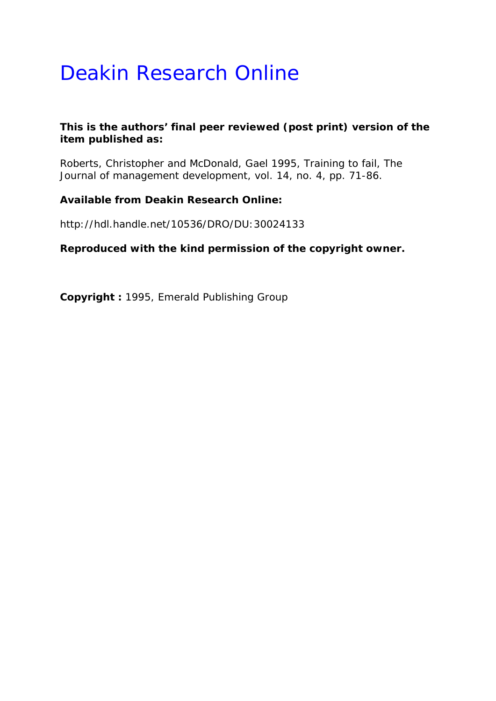# Deakin Research Online

## **This is the authors' final peer reviewed (post print) version of the item published as:**

Roberts, Christopher and McDonald, Gael 1995, Training to fail*, The Journal of management development*, vol. 14, no. 4, pp. 71-86.

## **Available from Deakin Research Online:**

http://hdl.handle.net/10536/DRO/DU:30024133

**Reproduced with the kind permission of the copyright owner.** 

**Copyright :** 1995, Emerald Publishing Group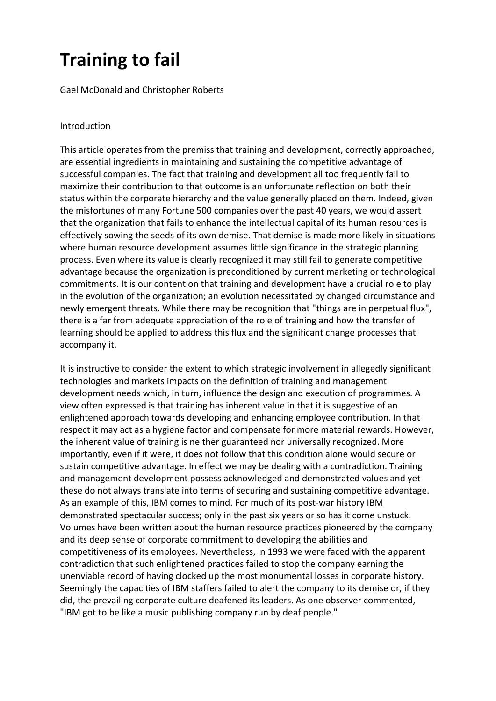# **Training to fail**

Gael McDonald and Christopher Roberts

### Introduction

This article operates from the premiss that training and development, correctly approached, are essential ingredients in maintaining and sustaining the competitive advantage of successful companies. The fact that training and development all too frequently fail to maximize their contribution to that outcome is an unfortunate reflection on both their status within the corporate hierarchy and the value generally placed on them. Indeed, given the misfortunes of many Fortune 500 companies over the past 40 years, we would assert that the organization that fails to enhance the intellectual capital of its human resources is effectively sowing the seeds of its own demise. That demise is made more likely in situations where human resource development assumes little significance in the strategic planning process. Even where its value is clearly recognized it may still fail to generate competitive advantage because the organization is preconditioned by current marketing or technological commitments. It is our contention that training and development have a crucial role to play in the evolution of the organization; an evolution necessitated by changed circumstance and newly emergent threats. While there may be recognition that "things are in perpetual flux", there is a far from adequate appreciation of the role of training and how the transfer of learning should be applied to address this flux and the significant change processes that accompany it.

It is instructive to consider the extent to which strategic involvement in allegedly significant technologies and markets impacts on the definition of training and management development needs which, in turn, influence the design and execution of programmes. A view often expressed is that training has inherent value in that it is suggestive of an enlightened approach towards developing and enhancing employee contribution. In that respect it may act as a hygiene factor and compensate for more material rewards. However, the inherent value of training is neither guaranteed nor universally recognized. More importantly, even if it were, it does not follow that this condition alone would secure or sustain competitive advantage. In effect we may be dealing with a contradiction. Training and management development possess acknowledged and demonstrated values and yet these do not always translate into terms of securing and sustaining competitive advantage. As an example of this, IBM comes to mind. For much of its post-war history IBM demonstrated spectacular success; only in the past six years or so has it come unstuck. Volumes have been written about the human resource practices pioneered by the company and its deep sense of corporate commitment to developing the abilities and competitiveness of its employees. Nevertheless, in 1993 we were faced with the apparent contradiction that such enlightened practices failed to stop the company earning the unenviable record of having clocked up the most monumental losses in corporate history. Seemingly the capacities of IBM staffers failed to alert the company to its demise or, if they did, the prevailing corporate culture deafened its leaders. As one observer commented, "IBM got to be like a music publishing company run by deaf people."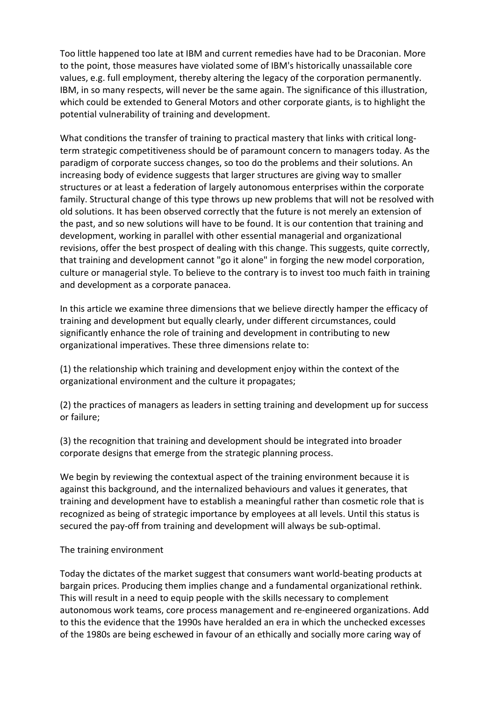Too little happened too late at IBM and current remedies have had to be Draconian. More to the point, those measures have violated some of IBM's historically unassailable core values, e.g. full employment, thereby altering the legacy of the corporation permanently. IBM, in so many respects, will never be the same again. The significance of this illustration, which could be extended to General Motors and other corporate giants, is to highlight the potential vulnerability of training and development.

What conditions the transfer of training to practical mastery that links with critical longterm strategic competitiveness should be of paramount concern to managers today. As the paradigm of corporate success changes, so too do the problems and their solutions. An increasing body of evidence suggests that larger structures are giving way to smaller structures or at least a federation of largely autonomous enterprises within the corporate family. Structural change of this type throws up new problems that will not be resolved with old solutions. It has been observed correctly that the future is not merely an extension of the past, and so new solutions will have to be found. It is our contention that training and development, working in parallel with other essential managerial and organizational revisions, offer the best prospect of dealing with this change. This suggests, quite correctly, that training and development cannot "go it alone" in forging the new model corporation, culture or managerial style. To believe to the contrary is to invest too much faith in training and development as a corporate panacea.

In this article we examine three dimensions that we believe directly hamper the efficacy of training and development but equally clearly, under different circumstances, could significantly enhance the role of training and development in contributing to new organizational imperatives. These three dimensions relate to:

(1) the relationship which training and development enjoy within the context of the organizational environment and the culture it propagates;

(2) the practices of managers as leaders in setting training and development up for success or failure;

(3) the recognition that training and development should be integrated into broader corporate designs that emerge from the strategic planning process.

We begin by reviewing the contextual aspect of the training environment because it is against this background, and the internalized behaviours and values it generates, that training and development have to establish a meaningful rather than cosmetic role that is recognized as being of strategic importance by employees at all levels. Until this status is secured the pay-off from training and development will always be sub-optimal.

### The training environment

Today the dictates of the market suggest that consumers want world‐beating products at bargain prices. Producing them implies change and a fundamental organizational rethink. This will result in a need to equip people with the skills necessary to complement autonomous work teams, core process management and re‐engineered organizations. Add to this the evidence that the 1990s have heralded an era in which the unchecked excesses of the 1980s are being eschewed in favour of an ethically and socially more caring way of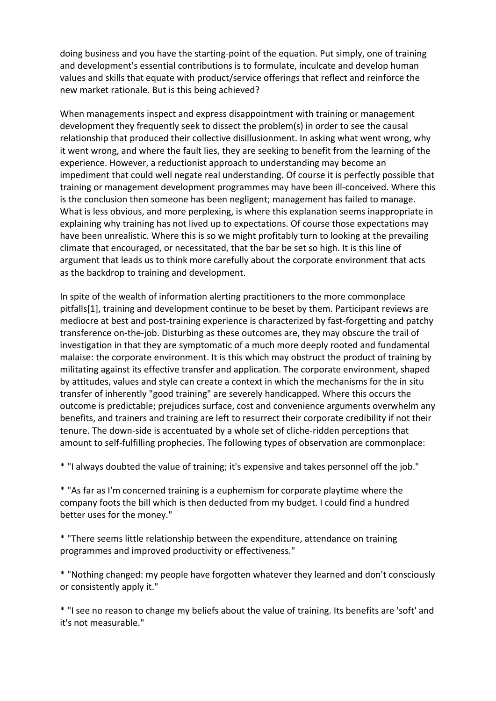doing business and you have the starting‐point of the equation. Put simply, one of training and development's essential contributions is to formulate, inculcate and develop human values and skills that equate with product/service offerings that reflect and reinforce the new market rationale. But is this being achieved?

When managements inspect and express disappointment with training or management development they frequently seek to dissect the problem(s) in order to see the causal relationship that produced their collective disillusionment. In asking what went wrong, why it went wrong, and where the fault lies, they are seeking to benefit from the learning of the experience. However, a reductionist approach to understanding may become an impediment that could well negate real understanding. Of course it is perfectly possible that training or management development programmes may have been ill‐conceived. Where this is the conclusion then someone has been negligent; management has failed to manage. What is less obvious, and more perplexing, is where this explanation seems inappropriate in explaining why training has not lived up to expectations. Of course those expectations may have been unrealistic. Where this is so we might profitably turn to looking at the prevailing climate that encouraged, or necessitated, that the bar be set so high. It is this line of argument that leads us to think more carefully about the corporate environment that acts as the backdrop to training and development.

In spite of the wealth of information alerting practitioners to the more commonplace pitfalls[1], training and development continue to be beset by them. Participant reviews are mediocre at best and post-training experience is characterized by fast-forgetting and patchy transference on‐the‐job. Disturbing as these outcomes are, they may obscure the trail of investigation in that they are symptomatic of a much more deeply rooted and fundamental malaise: the corporate environment. It is this which may obstruct the product of training by militating against its effective transfer and application. The corporate environment, shaped by attitudes, values and style can create a context in which the mechanisms for the in situ transfer of inherently "good training" are severely handicapped. Where this occurs the outcome is predictable; prejudices surface, cost and convenience arguments overwhelm any benefits, and trainers and training are left to resurrect their corporate credibility if not their tenure. The down-side is accentuated by a whole set of cliche-ridden perceptions that amount to self-fulfilling prophecies. The following types of observation are commonplace:

\* "I always doubted the value of training; it's expensive and takes personnel off the job."

\* "As far as I'm concerned training is a euphemism for corporate playtime where the company foots the bill which is then deducted from my budget. I could find a hundred better uses for the money."

\* "There seems little relationship between the expenditure, attendance on training programmes and improved productivity or effectiveness."

\* "Nothing changed: my people have forgotten whatever they learned and don't consciously or consistently apply it."

\* "I see no reason to change my beliefs about the value of training. Its benefits are 'soft' and it's not measurable."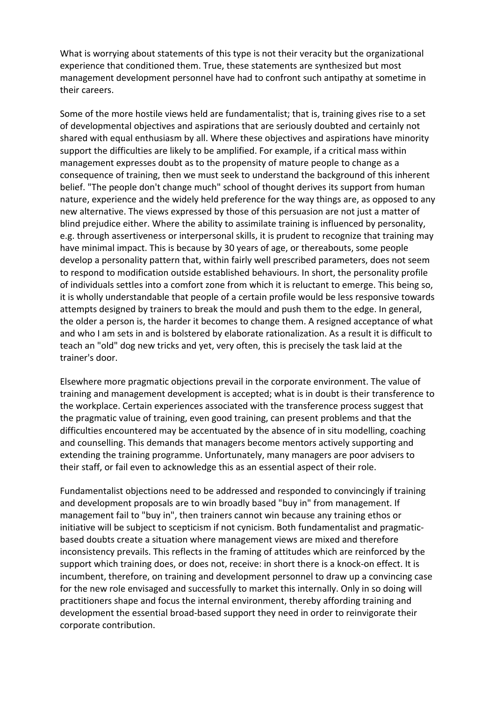What is worrying about statements of this type is not their veracity but the organizational experience that conditioned them. True, these statements are synthesized but most management development personnel have had to confront such antipathy at sometime in their careers.

Some of the more hostile views held are fundamentalist; that is, training gives rise to a set of developmental objectives and aspirations that are seriously doubted and certainly not shared with equal enthusiasm by all. Where these objectives and aspirations have minority support the difficulties are likely to be amplified. For example, if a critical mass within management expresses doubt as to the propensity of mature people to change as a consequence of training, then we must seek to understand the background of this inherent belief. "The people don't change much" school of thought derives its support from human nature, experience and the widely held preference for the way things are, as opposed to any new alternative. The views expressed by those of this persuasion are not just a matter of blind prejudice either. Where the ability to assimilate training is influenced by personality, e.g. through assertiveness or interpersonal skills, it is prudent to recognize that training may have minimal impact. This is because by 30 years of age, or thereabouts, some people develop a personality pattern that, within fairly well prescribed parameters, does not seem to respond to modification outside established behaviours. In short, the personality profile of individuals settles into a comfort zone from which it is reluctant to emerge. This being so, it is wholly understandable that people of a certain profile would be less responsive towards attempts designed by trainers to break the mould and push them to the edge. In general, the older a person is, the harder it becomes to change them. A resigned acceptance of what and who I am sets in and is bolstered by elaborate rationalization. As a result it is difficult to teach an "old" dog new tricks and yet, very often, this is precisely the task laid at the trainer's door.

Elsewhere more pragmatic objections prevail in the corporate environment. The value of training and management development is accepted; what is in doubt is their transference to the workplace. Certain experiences associated with the transference process suggest that the pragmatic value of training, even good training, can present problems and that the difficulties encountered may be accentuated by the absence of in situ modelling, coaching and counselling. This demands that managers become mentors actively supporting and extending the training programme. Unfortunately, many managers are poor advisers to their staff, or fail even to acknowledge this as an essential aspect of their role.

Fundamentalist objections need to be addressed and responded to convincingly if training and development proposals are to win broadly based "buy in" from management. If management fail to "buy in", then trainers cannot win because any training ethos or initiative will be subject to scepticism if not cynicism. Both fundamentalist and pragmatic‐ based doubts create a situation where management views are mixed and therefore inconsistency prevails. This reflects in the framing of attitudes which are reinforced by the support which training does, or does not, receive: in short there is a knock-on effect. It is incumbent, therefore, on training and development personnel to draw up a convincing case for the new role envisaged and successfully to market this internally. Only in so doing will practitioners shape and focus the internal environment, thereby affording training and development the essential broad‐based support they need in order to reinvigorate their corporate contribution.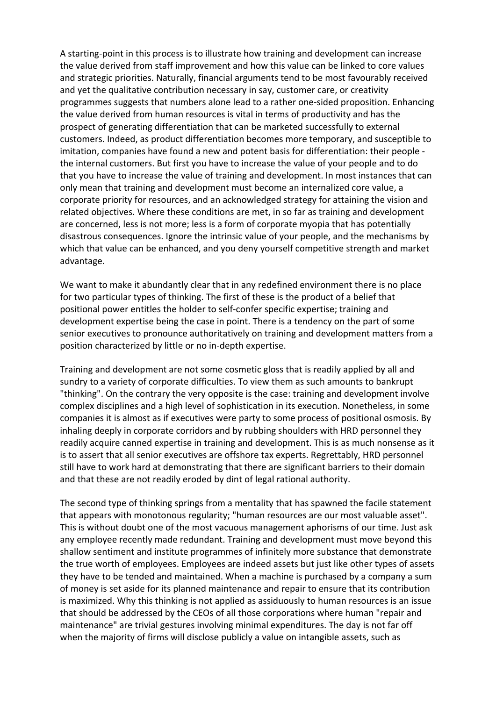A starting‐point in this process is to illustrate how training and development can increase the value derived from staff improvement and how this value can be linked to core values and strategic priorities. Naturally, financial arguments tend to be most favourably received and yet the qualitative contribution necessary in say, customer care, or creativity programmes suggests that numbers alone lead to a rather one‐sided proposition. Enhancing the value derived from human resources is vital in terms of productivity and has the prospect of generating differentiation that can be marketed successfully to external customers. Indeed, as product differentiation becomes more temporary, and susceptible to imitation, companies have found a new and potent basis for differentiation: their people ‐ the internal customers. But first you have to increase the value of your people and to do that you have to increase the value of training and development. In most instances that can only mean that training and development must become an internalized core value, a corporate priority for resources, and an acknowledged strategy for attaining the vision and related objectives. Where these conditions are met, in so far as training and development are concerned, less is not more; less is a form of corporate myopia that has potentially disastrous consequences. Ignore the intrinsic value of your people, and the mechanisms by which that value can be enhanced, and you deny yourself competitive strength and market advantage.

We want to make it abundantly clear that in any redefined environment there is no place for two particular types of thinking. The first of these is the product of a belief that positional power entitles the holder to self‐confer specific expertise; training and development expertise being the case in point. There is a tendency on the part of some senior executives to pronounce authoritatively on training and development matters from a position characterized by little or no in‐depth expertise.

Training and development are not some cosmetic gloss that is readily applied by all and sundry to a variety of corporate difficulties. To view them as such amounts to bankrupt "thinking". On the contrary the very opposite is the case: training and development involve complex disciplines and a high level of sophistication in its execution. Nonetheless, in some companies it is almost as if executives were party to some process of positional osmosis. By inhaling deeply in corporate corridors and by rubbing shoulders with HRD personnel they readily acquire canned expertise in training and development. This is as much nonsense as it is to assert that all senior executives are offshore tax experts. Regrettably, HRD personnel still have to work hard at demonstrating that there are significant barriers to their domain and that these are not readily eroded by dint of legal rational authority.

The second type of thinking springs from a mentality that has spawned the facile statement that appears with monotonous regularity; "human resources are our most valuable asset". This is without doubt one of the most vacuous management aphorisms of our time. Just ask any employee recently made redundant. Training and development must move beyond this shallow sentiment and institute programmes of infinitely more substance that demonstrate the true worth of employees. Employees are indeed assets but just like other types of assets they have to be tended and maintained. When a machine is purchased by a company a sum of money is set aside for its planned maintenance and repair to ensure that its contribution is maximized. Why this thinking is not applied as assiduously to human resources is an issue that should be addressed by the CEOs of all those corporations where human "repair and maintenance" are trivial gestures involving minimal expenditures. The day is not far off when the majority of firms will disclose publicly a value on intangible assets, such as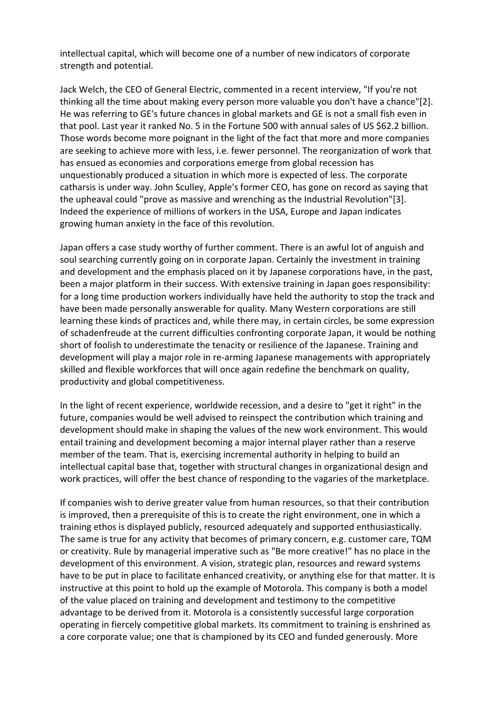intellectual capital, which will become one of a number of new indicators of corporate strength and potential.

Jack Welch, the CEO of General Electric, commented in a recent interview, "If you're not thinking all the time about making every person more valuable you don't have a chance"[2]. He was referring to GE's future chances in global markets and GE is not a small fish even in that pool. Last year it ranked No. 5 in the Fortune 500 with annual sales of US \$62.2 billion. Those words become more poignant in the light of the fact that more and more companies are seeking to achieve more with less, i.e. fewer personnel. The reorganization of work that has ensued as economies and corporations emerge from global recession has unquestionably produced a situation in which more is expected of less. The corporate catharsis is under way. John Sculley, Apple's former CEO, has gone on record as saying that the upheaval could "prove as massive and wrenching as the Industrial Revolution"[3]. Indeed the experience of millions of workers in the USA, Europe and Japan indicates growing human anxiety in the face of this revolution.

Japan offers a case study worthy of further comment. There is an awful lot of anguish and soul searching currently going on in corporate Japan. Certainly the investment in training and development and the emphasis placed on it by Japanese corporations have, in the past, been a major platform in their success. With extensive training in Japan goes responsibility: for a long time production workers individually have held the authority to stop the track and have been made personally answerable for quality. Many Western corporations are still learning these kinds of practices and, while there may, in certain circles, be some expression of schadenfreude at the current difficulties confronting corporate Japan, it would be nothing short of foolish to underestimate the tenacity or resilience of the Japanese. Training and development will play a major role in re‐arming Japanese managements with appropriately skilled and flexible workforces that will once again redefine the benchmark on quality, productivity and global competitiveness.

In the light of recent experience, worldwide recession, and a desire to "get it right" in the future, companies would be well advised to reinspect the contribution which training and development should make in shaping the values of the new work environment. This would entail training and development becoming a major internal player rather than a reserve member of the team. That is, exercising incremental authority in helping to build an intellectual capital base that, together with structural changes in organizational design and work practices, will offer the best chance of responding to the vagaries of the marketplace.

If companies wish to derive greater value from human resources, so that their contribution is improved, then a prerequisite of this is to create the right environment, one in which a training ethos is displayed publicly, resourced adequately and supported enthusiastically. The same is true for any activity that becomes of primary concern, e.g. customer care, TQM or creativity. Rule by managerial imperative such as "Be more creative!" has no place in the development of this environment. A vision, strategic plan, resources and reward systems have to be put in place to facilitate enhanced creativity, or anything else for that matter. It is instructive at this point to hold up the example of Motorola. This company is both a model of the value placed on training and development and testimony to the competitive advantage to be derived from it. Motorola is a consistently successful large corporation operating in fiercely competitive global markets. Its commitment to training is enshrined as a core corporate value; one that is championed by its CEO and funded generously. More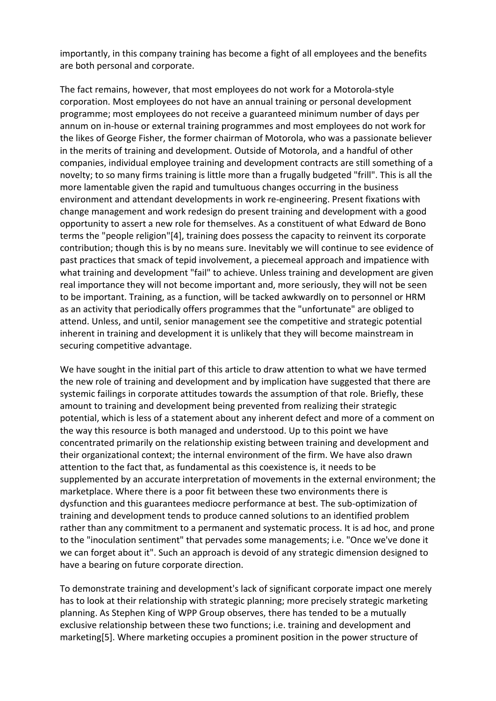importantly, in this company training has become a fight of all employees and the benefits are both personal and corporate.

The fact remains, however, that most employees do not work for a Motorola‐style corporation. Most employees do not have an annual training or personal development programme; most employees do not receive a guaranteed minimum number of days per annum on in‐house or external training programmes and most employees do not work for the likes of George Fisher, the former chairman of Motorola, who was a passionate believer in the merits of training and development. Outside of Motorola, and a handful of other companies, individual employee training and development contracts are still something of a novelty; to so many firms training is little more than a frugally budgeted "frill". This is all the more lamentable given the rapid and tumultuous changes occurring in the business environment and attendant developments in work re‐engineering. Present fixations with change management and work redesign do present training and development with a good opportunity to assert a new role for themselves. As a constituent of what Edward de Bono terms the "people religion"[4], training does possess the capacity to reinvent its corporate contribution; though this is by no means sure. Inevitably we will continue to see evidence of past practices that smack of tepid involvement, a piecemeal approach and impatience with what training and development "fail" to achieve. Unless training and development are given real importance they will not become important and, more seriously, they will not be seen to be important. Training, as a function, will be tacked awkwardly on to personnel or HRM as an activity that periodically offers programmes that the "unfortunate" are obliged to attend. Unless, and until, senior management see the competitive and strategic potential inherent in training and development it is unlikely that they will become mainstream in securing competitive advantage.

We have sought in the initial part of this article to draw attention to what we have termed the new role of training and development and by implication have suggested that there are systemic failings in corporate attitudes towards the assumption of that role. Briefly, these amount to training and development being prevented from realizing their strategic potential, which is less of a statement about any inherent defect and more of a comment on the way this resource is both managed and understood. Up to this point we have concentrated primarily on the relationship existing between training and development and their organizational context; the internal environment of the firm. We have also drawn attention to the fact that, as fundamental as this coexistence is, it needs to be supplemented by an accurate interpretation of movements in the external environment; the marketplace. Where there is a poor fit between these two environments there is dysfunction and this guarantees mediocre performance at best. The sub‐optimization of training and development tends to produce canned solutions to an identified problem rather than any commitment to a permanent and systematic process. It is ad hoc, and prone to the "inoculation sentiment" that pervades some managements; i.e. "Once we've done it we can forget about it". Such an approach is devoid of any strategic dimension designed to have a bearing on future corporate direction.

To demonstrate training and development's lack of significant corporate impact one merely has to look at their relationship with strategic planning; more precisely strategic marketing planning. As Stephen King of WPP Group observes, there has tended to be a mutually exclusive relationship between these two functions; i.e. training and development and marketing[5]. Where marketing occupies a prominent position in the power structure of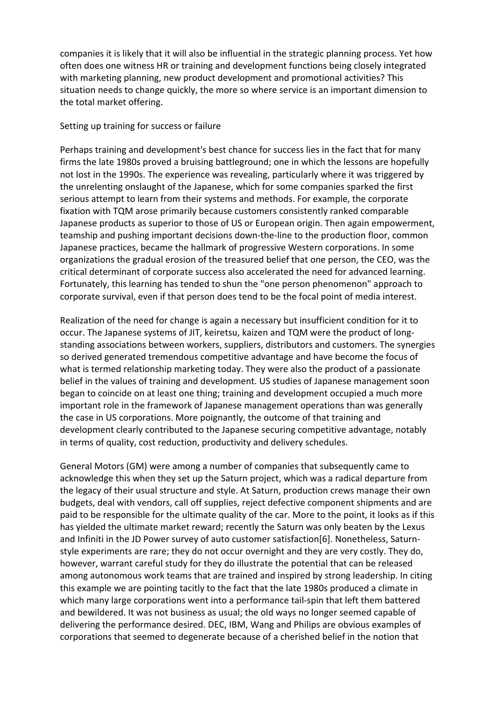companies it is likely that it will also be influential in the strategic planning process. Yet how often does one witness HR or training and development functions being closely integrated with marketing planning, new product development and promotional activities? This situation needs to change quickly, the more so where service is an important dimension to the total market offering.

#### Setting up training for success or failure

Perhaps training and development's best chance for success lies in the fact that for many firms the late 1980s proved a bruising battleground; one in which the lessons are hopefully not lost in the 1990s. The experience was revealing, particularly where it was triggered by the unrelenting onslaught of the Japanese, which for some companies sparked the first serious attempt to learn from their systems and methods. For example, the corporate fixation with TQM arose primarily because customers consistently ranked comparable Japanese products as superior to those of US or European origin. Then again empowerment, teamship and pushing important decisions down‐the‐line to the production floor, common Japanese practices, became the hallmark of progressive Western corporations. In some organizations the gradual erosion of the treasured belief that one person, the CEO, was the critical determinant of corporate success also accelerated the need for advanced learning. Fortunately, this learning has tended to shun the "one person phenomenon" approach to corporate survival, even if that person does tend to be the focal point of media interest.

Realization of the need for change is again a necessary but insufficient condition for it to occur. The Japanese systems of JIT, keiretsu, kaizen and TQM were the product of long‐ standing associations between workers, suppliers, distributors and customers. The synergies so derived generated tremendous competitive advantage and have become the focus of what is termed relationship marketing today. They were also the product of a passionate belief in the values of training and development. US studies of Japanese management soon began to coincide on at least one thing; training and development occupied a much more important role in the framework of Japanese management operations than was generally the case in US corporations. More poignantly, the outcome of that training and development clearly contributed to the Japanese securing competitive advantage, notably in terms of quality, cost reduction, productivity and delivery schedules.

General Motors (GM) were among a number of companies that subsequently came to acknowledge this when they set up the Saturn project, which was a radical departure from the legacy of their usual structure and style. At Saturn, production crews manage their own budgets, deal with vendors, call off supplies, reject defective component shipments and are paid to be responsible for the ultimate quality of the car. More to the point, it looks as if this has yielded the ultimate market reward; recently the Saturn was only beaten by the Lexus and Infiniti in the JD Power survey of auto customer satisfaction[6]. Nonetheless, Saturnstyle experiments are rare; they do not occur overnight and they are very costly. They do, however, warrant careful study for they do illustrate the potential that can be released among autonomous work teams that are trained and inspired by strong leadership. In citing this example we are pointing tacitly to the fact that the late 1980s produced a climate in which many large corporations went into a performance tail‐spin that left them battered and bewildered. It was not business as usual; the old ways no longer seemed capable of delivering the performance desired. DEC, IBM, Wang and Philips are obvious examples of corporations that seemed to degenerate because of a cherished belief in the notion that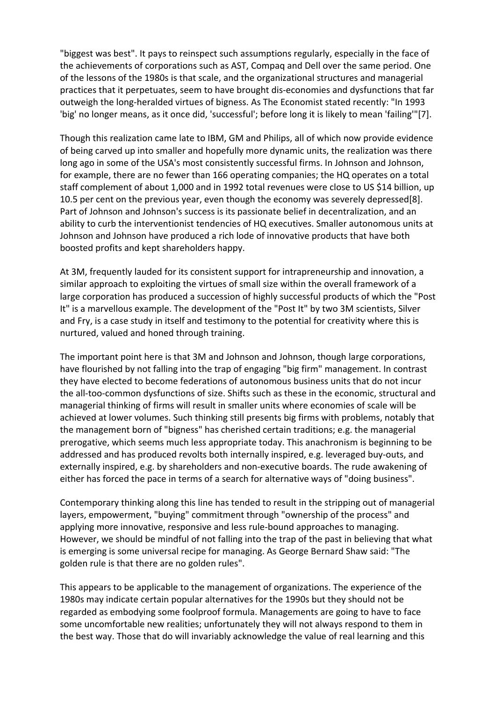"biggest was best". It pays to reinspect such assumptions regularly, especially in the face of the achievements of corporations such as AST, Compaq and Dell over the same period. One of the lessons of the 1980s is that scale, and the organizational structures and managerial practices that it perpetuates, seem to have brought dis‐economies and dysfunctions that far outweigh the long‐heralded virtues of bigness. As The Economist stated recently: "In 1993 'big' no longer means, as it once did, 'successful'; before long it is likely to mean 'failing'"[7].

Though this realization came late to IBM, GM and Philips, all of which now provide evidence of being carved up into smaller and hopefully more dynamic units, the realization was there long ago in some of the USA's most consistently successful firms. In Johnson and Johnson, for example, there are no fewer than 166 operating companies; the HQ operates on a total staff complement of about 1,000 and in 1992 total revenues were close to US \$14 billion, up 10.5 per cent on the previous year, even though the economy was severely depressed[8]. Part of Johnson and Johnson's success is its passionate belief in decentralization, and an ability to curb the interventionist tendencies of HQ executives. Smaller autonomous units at Johnson and Johnson have produced a rich lode of innovative products that have both boosted profits and kept shareholders happy.

At 3M, frequently lauded for its consistent support for intrapreneurship and innovation, a similar approach to exploiting the virtues of small size within the overall framework of a large corporation has produced a succession of highly successful products of which the "Post It" is a marvellous example. The development of the "Post It" by two 3M scientists, Silver and Fry, is a case study in itself and testimony to the potential for creativity where this is nurtured, valued and honed through training.

The important point here is that 3M and Johnson and Johnson, though large corporations, have flourished by not falling into the trap of engaging "big firm" management. In contrast they have elected to become federations of autonomous business units that do not incur the all-too-common dysfunctions of size. Shifts such as these in the economic, structural and managerial thinking of firms will result in smaller units where economies of scale will be achieved at lower volumes. Such thinking still presents big firms with problems, notably that the management born of "bigness" has cherished certain traditions; e.g. the managerial prerogative, which seems much less appropriate today. This anachronism is beginning to be addressed and has produced revolts both internally inspired, e.g. leveraged buy‐outs, and externally inspired, e.g. by shareholders and non-executive boards. The rude awakening of either has forced the pace in terms of a search for alternative ways of "doing business".

Contemporary thinking along this line has tended to result in the stripping out of managerial layers, empowerment, "buying" commitment through "ownership of the process" and applying more innovative, responsive and less rule-bound approaches to managing. However, we should be mindful of not falling into the trap of the past in believing that what is emerging is some universal recipe for managing. As George Bernard Shaw said: "The golden rule is that there are no golden rules".

This appears to be applicable to the management of organizations. The experience of the 1980s may indicate certain popular alternatives for the 1990s but they should not be regarded as embodying some foolproof formula. Managements are going to have to face some uncomfortable new realities; unfortunately they will not always respond to them in the best way. Those that do will invariably acknowledge the value of real learning and this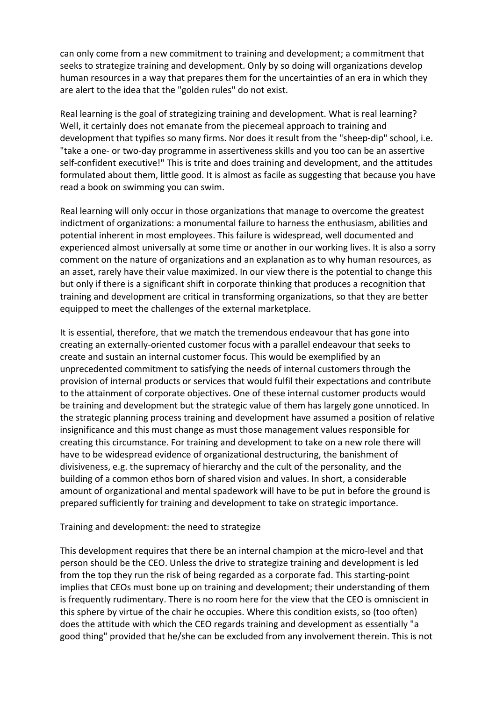can only come from a new commitment to training and development; a commitment that seeks to strategize training and development. Only by so doing will organizations develop human resources in a way that prepares them for the uncertainties of an era in which they are alert to the idea that the "golden rules" do not exist.

Real learning is the goal of strategizing training and development. What is real learning? Well, it certainly does not emanate from the piecemeal approach to training and development that typifies so many firms. Nor does it result from the "sheep‐dip" school, i.e. "take a one‐ or two‐day programme in assertiveness skills and you too can be an assertive self-confident executive!" This is trite and does training and development, and the attitudes formulated about them, little good. It is almost as facile as suggesting that because you have read a book on swimming you can swim.

Real learning will only occur in those organizations that manage to overcome the greatest indictment of organizations: a monumental failure to harness the enthusiasm, abilities and potential inherent in most employees. This failure is widespread, well documented and experienced almost universally at some time or another in our working lives. It is also a sorry comment on the nature of organizations and an explanation as to why human resources, as an asset, rarely have their value maximized. In our view there is the potential to change this but only if there is a significant shift in corporate thinking that produces a recognition that training and development are critical in transforming organizations, so that they are better equipped to meet the challenges of the external marketplace.

It is essential, therefore, that we match the tremendous endeavour that has gone into creating an externally‐oriented customer focus with a parallel endeavour that seeks to create and sustain an internal customer focus. This would be exemplified by an unprecedented commitment to satisfying the needs of internal customers through the provision of internal products or services that would fulfil their expectations and contribute to the attainment of corporate objectives. One of these internal customer products would be training and development but the strategic value of them has largely gone unnoticed. In the strategic planning process training and development have assumed a position of relative insignificance and this must change as must those management values responsible for creating this circumstance. For training and development to take on a new role there will have to be widespread evidence of organizational destructuring, the banishment of divisiveness, e.g. the supremacy of hierarchy and the cult of the personality, and the building of a common ethos born of shared vision and values. In short, a considerable amount of organizational and mental spadework will have to be put in before the ground is prepared sufficiently for training and development to take on strategic importance.

### Training and development: the need to strategize

This development requires that there be an internal champion at the micro‐level and that person should be the CEO. Unless the drive to strategize training and development is led from the top they run the risk of being regarded as a corporate fad. This starting-point implies that CEOs must bone up on training and development; their understanding of them is frequently rudimentary. There is no room here for the view that the CEO is omniscient in this sphere by virtue of the chair he occupies. Where this condition exists, so (too often) does the attitude with which the CEO regards training and development as essentially "a good thing" provided that he/she can be excluded from any involvement therein. This is not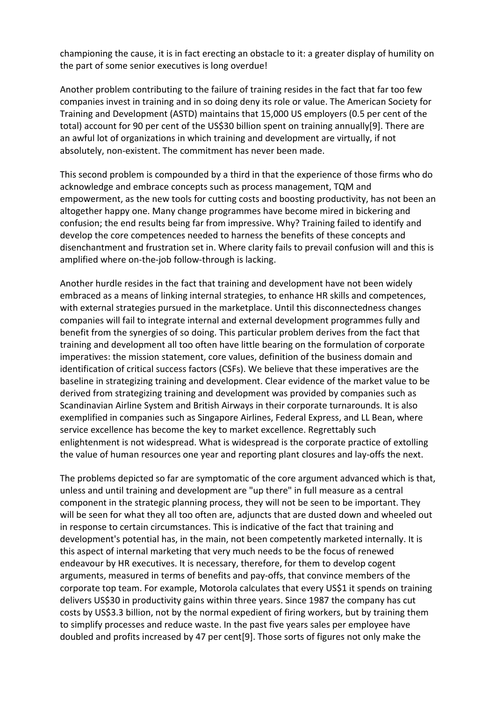championing the cause, it is in fact erecting an obstacle to it: a greater display of humility on the part of some senior executives is long overdue!

Another problem contributing to the failure of training resides in the fact that far too few companies invest in training and in so doing deny its role or value. The American Society for Training and Development (ASTD) maintains that 15,000 US employers (0.5 per cent of the total) account for 90 per cent of the US\$30 billion spent on training annually[9]. There are an awful lot of organizations in which training and development are virtually, if not absolutely, non‐existent. The commitment has never been made.

This second problem is compounded by a third in that the experience of those firms who do acknowledge and embrace concepts such as process management, TQM and empowerment, as the new tools for cutting costs and boosting productivity, has not been an altogether happy one. Many change programmes have become mired in bickering and confusion; the end results being far from impressive. Why? Training failed to identify and develop the core competences needed to harness the benefits of these concepts and disenchantment and frustration set in. Where clarity fails to prevail confusion will and this is amplified where on-the-job follow-through is lacking.

Another hurdle resides in the fact that training and development have not been widely embraced as a means of linking internal strategies, to enhance HR skills and competences, with external strategies pursued in the marketplace. Until this disconnectedness changes companies will fail to integrate internal and external development programmes fully and benefit from the synergies of so doing. This particular problem derives from the fact that training and development all too often have little bearing on the formulation of corporate imperatives: the mission statement, core values, definition of the business domain and identification of critical success factors (CSFs). We believe that these imperatives are the baseline in strategizing training and development. Clear evidence of the market value to be derived from strategizing training and development was provided by companies such as Scandinavian Airline System and British Airways in their corporate turnarounds. It is also exemplified in companies such as Singapore Airlines, Federal Express, and LL Bean, where service excellence has become the key to market excellence. Regrettably such enlightenment is not widespread. What is widespread is the corporate practice of extolling the value of human resources one year and reporting plant closures and lay‐offs the next.

The problems depicted so far are symptomatic of the core argument advanced which is that, unless and until training and development are "up there" in full measure as a central component in the strategic planning process, they will not be seen to be important. They will be seen for what they all too often are, adjuncts that are dusted down and wheeled out in response to certain circumstances. This is indicative of the fact that training and development's potential has, in the main, not been competently marketed internally. It is this aspect of internal marketing that very much needs to be the focus of renewed endeavour by HR executives. It is necessary, therefore, for them to develop cogent arguments, measured in terms of benefits and pay‐offs, that convince members of the corporate top team. For example, Motorola calculates that every US\$1 it spends on training delivers US\$30 in productivity gains within three years. Since 1987 the company has cut costs by US\$3.3 billion, not by the normal expedient of firing workers, but by training them to simplify processes and reduce waste. In the past five years sales per employee have doubled and profits increased by 47 per cent[9]. Those sorts of figures not only make the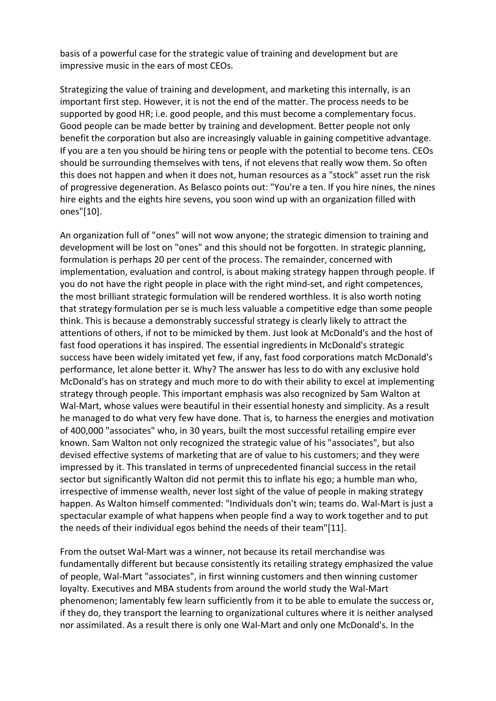basis of a powerful case for the strategic value of training and development but are impressive music in the ears of most CEOs.

Strategizing the value of training and development, and marketing this internally, is an important first step. However, it is not the end of the matter. The process needs to be supported by good HR; i.e. good people, and this must become a complementary focus. Good people can be made better by training and development. Better people not only benefit the corporation but also are increasingly valuable in gaining competitive advantage. If you are a ten you should be hiring tens or people with the potential to become tens. CEOs should be surrounding themselves with tens, if not elevens that really wow them. So often this does not happen and when it does not, human resources as a "stock" asset run the risk of progressive degeneration. As Belasco points out: "You're a ten. If you hire nines, the nines hire eights and the eights hire sevens, you soon wind up with an organization filled with ones"[10].

An organization full of "ones" will not wow anyone; the strategic dimension to training and development will be lost on "ones" and this should not be forgotten. In strategic planning, formulation is perhaps 20 per cent of the process. The remainder, concerned with implementation, evaluation and control, is about making strategy happen through people. If you do not have the right people in place with the right mind‐set, and right competences, the most brilliant strategic formulation will be rendered worthless. It is also worth noting that strategy formulation per se is much less valuable a competitive edge than some people think. This is because a demonstrably successful strategy is clearly likely to attract the attentions of others, if not to be mimicked by them. Just look at McDonald's and the host of fast food operations it has inspired. The essential ingredients in McDonald's strategic success have been widely imitated yet few, if any, fast food corporations match McDonald's performance, let alone better it. Why? The answer has less to do with any exclusive hold McDonald's has on strategy and much more to do with their ability to excel at implementing strategy through people. This important emphasis was also recognized by Sam Walton at Wal-Mart, whose values were beautiful in their essential honesty and simplicity. As a result he managed to do what very few have done. That is, to harness the energies and motivation of 400,000 "associates" who, in 30 years, built the most successful retailing empire ever known. Sam Walton not only recognized the strategic value of his "associates", but also devised effective systems of marketing that are of value to his customers; and they were impressed by it. This translated in terms of unprecedented financial success in the retail sector but significantly Walton did not permit this to inflate his ego; a humble man who, irrespective of immense wealth, never lost sight of the value of people in making strategy happen. As Walton himself commented: "Individuals don't win; teams do. Wal-Mart is just a spectacular example of what happens when people find a way to work together and to put the needs of their individual egos behind the needs of their team"[11].

From the outset Wal-Mart was a winner, not because its retail merchandise was fundamentally different but because consistently its retailing strategy emphasized the value of people, Wal‐Mart "associates", in first winning customers and then winning customer loyalty. Executives and MBA students from around the world study the Wal‐Mart phenomenon; lamentably few learn sufficiently from it to be able to emulate the success or, if they do, they transport the learning to organizational cultures where it is neither analysed nor assimilated. As a result there is only one Wal‐Mart and only one McDonald's. In the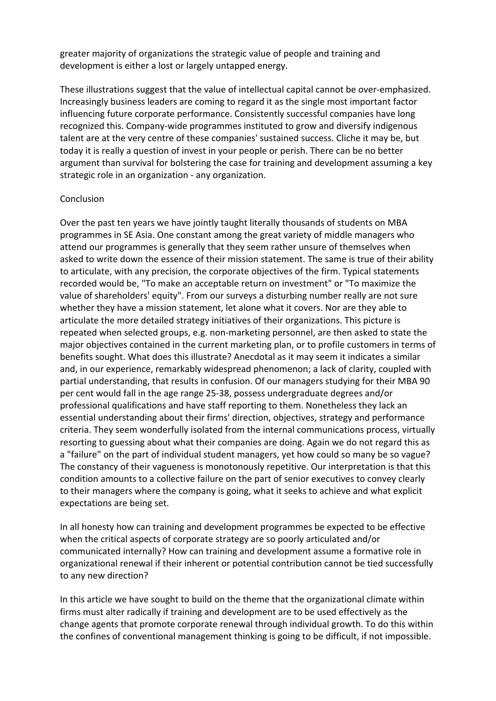greater majority of organizations the strategic value of people and training and development is either a lost or largely untapped energy.

These illustrations suggest that the value of intellectual capital cannot be over‐emphasized. Increasingly business leaders are coming to regard it as the single most important factor influencing future corporate performance. Consistently successful companies have long recognized this. Company‐wide programmes instituted to grow and diversify indigenous talent are at the very centre of these companies' sustained success. Cliche it may be, but today it is really a question of invest in your people or perish. There can be no better argument than survival for bolstering the case for training and development assuming a key strategic role in an organization ‐ any organization.

### Conclusion

Over the past ten years we have jointly taught literally thousands of students on MBA programmes in SE Asia. One constant among the great variety of middle managers who attend our programmes is generally that they seem rather unsure of themselves when asked to write down the essence of their mission statement. The same is true of their ability to articulate, with any precision, the corporate objectives of the firm. Typical statements recorded would be, "To make an acceptable return on investment" or "To maximize the value of shareholders' equity". From our surveys a disturbing number really are not sure whether they have a mission statement, let alone what it covers. Nor are they able to articulate the more detailed strategy initiatives of their organizations. This picture is repeated when selected groups, e.g. non‐marketing personnel, are then asked to state the major objectives contained in the current marketing plan, or to profile customers in terms of benefits sought. What does this illustrate? Anecdotal as it may seem it indicates a similar and, in our experience, remarkably widespread phenomenon; a lack of clarity, coupled with partial understanding, that results in confusion. Of our managers studying for their MBA 90 per cent would fall in the age range 25‐38, possess undergraduate degrees and/or professional qualifications and have staff reporting to them. Nonetheless they lack an essential understanding about their firms' direction, objectives, strategy and performance criteria. They seem wonderfully isolated from the internal communications process, virtually resorting to guessing about what their companies are doing. Again we do not regard this as a "failure" on the part of individual student managers, yet how could so many be so vague? The constancy of their vagueness is monotonously repetitive. Our interpretation is that this condition amounts to a collective failure on the part of senior executives to convey clearly to their managers where the company is going, what it seeks to achieve and what explicit expectations are being set.

In all honesty how can training and development programmes be expected to be effective when the critical aspects of corporate strategy are so poorly articulated and/or communicated internally? How can training and development assume a formative role in organizational renewal if their inherent or potential contribution cannot be tied successfully to any new direction?

In this article we have sought to build on the theme that the organizational climate within firms must alter radically if training and development are to be used effectively as the change agents that promote corporate renewal through individual growth. To do this within the confines of conventional management thinking is going to be difficult, if not impossible.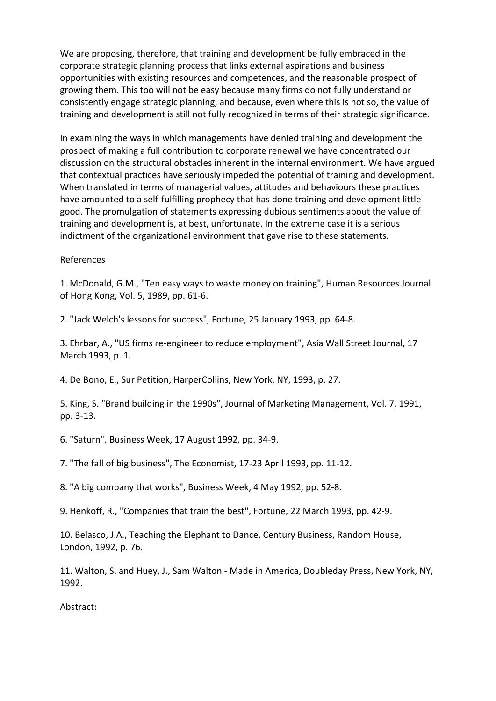We are proposing, therefore, that training and development be fully embraced in the corporate strategic planning process that links external aspirations and business opportunities with existing resources and competences, and the reasonable prospect of growing them. This too will not be easy because many firms do not fully understand or consistently engage strategic planning, and because, even where this is not so, the value of training and development is still not fully recognized in terms of their strategic significance.

In examining the ways in which managements have denied training and development the prospect of making a full contribution to corporate renewal we have concentrated our discussion on the structural obstacles inherent in the internal environment. We have argued that contextual practices have seriously impeded the potential of training and development. When translated in terms of managerial values, attitudes and behaviours these practices have amounted to a self-fulfilling prophecy that has done training and development little good. The promulgation of statements expressing dubious sentiments about the value of training and development is, at best, unfortunate. In the extreme case it is a serious indictment of the organizational environment that gave rise to these statements.

#### References

1. McDonald, G.M., "Ten easy ways to waste money on training", Human Resources Journal of Hong Kong, Vol. 5, 1989, pp. 61‐6.

2. "Jack Welch's lessons for success", Fortune, 25 January 1993, pp. 64‐8.

3. Ehrbar, A., "US firms re‐engineer to reduce employment", Asia Wall Street Journal, 17 March 1993, p. 1.

4. De Bono, E., Sur Petition, HarperCollins, New York, NY, 1993, p. 27.

5. King, S. "Brand building in the 1990s", Journal of Marketing Management, Vol. 7, 1991, pp. 3‐13.

6. "Saturn", Business Week, 17 August 1992, pp. 34‐9.

7. "The fall of big business", The Economist, 17‐23 April 1993, pp. 11‐12.

8. "A big company that works", Business Week, 4 May 1992, pp. 52‐8.

9. Henkoff, R., "Companies that train the best", Fortune, 22 March 1993, pp. 42‐9.

10. Belasco, J.A., Teaching the Elephant to Dance, Century Business, Random House, London, 1992, p. 76.

11. Walton, S. and Huey, J., Sam Walton ‐ Made in America, Doubleday Press, New York, NY, 1992.

Abstract: